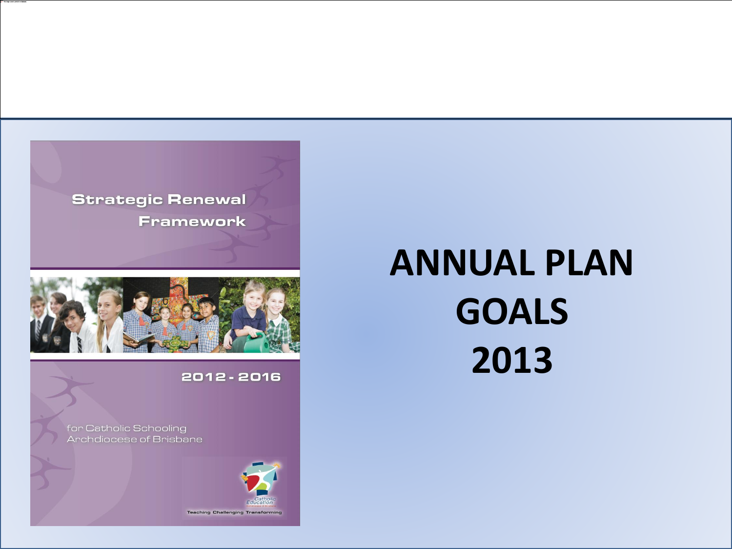



#### 2012 - 2016

for Catholic Schooling Archdiocese of Brisbane



# **ANNUAL PLAN GOALS 2013**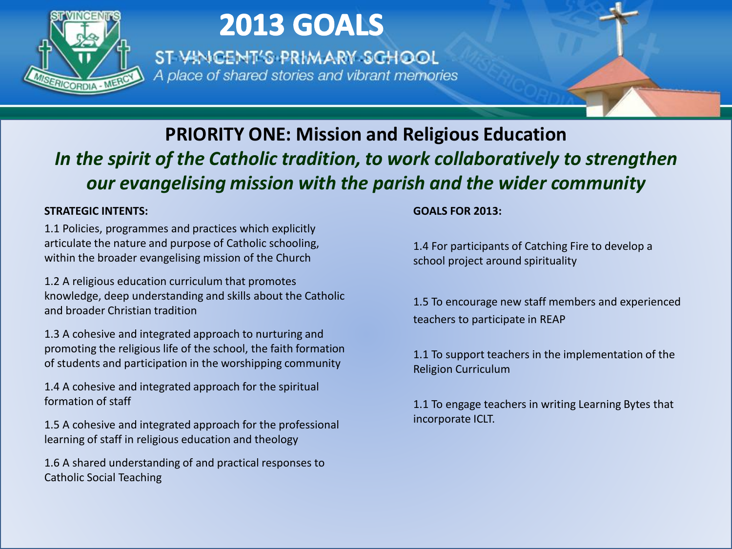

ST VINCENT'S PRIMARY SCHOOL A place of shared stories and vibrant memories

### **PRIORITY ONE: Mission and Religious Education** *In the spirit of the Catholic tradition, to work collaboratively to strengthen our evangelising mission with the parish and the wider community*

#### **STRATEGIC INTENTS:**

1.1 Policies, programmes and practices which explicitly articulate the nature and purpose of Catholic schooling, within the broader evangelising mission of the Church

1.2 A religious education curriculum that promotes knowledge, deep understanding and skills about the Catholic and broader Christian tradition

1.3 A cohesive and integrated approach to nurturing and promoting the religious life of the school, the faith formation of students and participation in the worshipping community

1.4 A cohesive and integrated approach for the spiritual formation of staff

1.5 A cohesive and integrated approach for the professional learning of staff in religious education and theology

1.6 A shared understanding of and practical responses to Catholic Social Teaching

#### **GOALS FOR 2013:**

1.4 For participants of Catching Fire to develop a school project around spirituality

1.5 To encourage new staff members and experienced teachers to participate in REAP

1.1 To support teachers in the implementation of the Religion Curriculum

1.1 To engage teachers in writing Learning Bytes that incorporate ICLT.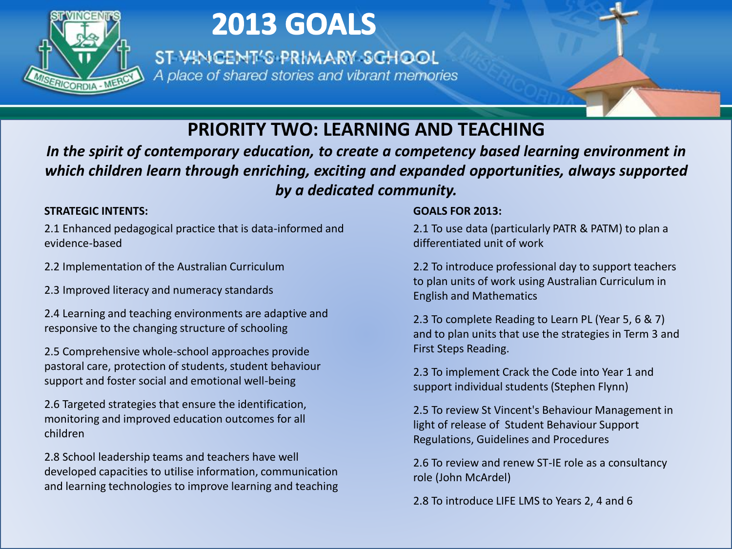

ST VINCENT'S PRIMARY SCHOOL A place of shared stories and vibrant memories

### **PRIORITY TWO: LEARNING AND TEACHING**

*In the spirit of contemporary education, to create a competency based learning environment in which children learn through enriching, exciting and expanded opportunities, always supported by a dedicated community.*

**STRATEGIC INTENTS:**<br>2.1 Enhanced pedagogical practice that is data-informed and **2**<br>evidence-based d 2.1 Enhanced pedagogical practice that is data-informed and evidence-based

2.2 Implementation of the Australian Curriculum

2.3 Improved literacy and numeracy standards

2.4 Learning and teaching environments are adaptive and responsive to the changing structure of schooling

2.5 Comprehensive whole-school approaches provide pastoral care, protection of students, student behaviour support and foster social and emotional well-being

2.6 Targeted strategies that ensure the identification, monitoring and improved education outcomes for all children

2.8 School leadership teams and teachers have well developed capacities to utilise information, communication and learning technologies to improve learning and teaching

#### **GOALS FOR 2013:**

2.1 To use data (particularly PATR & PATM) to plan a differentiated unit of work

2.2 To introduce professional day to support teachers to plan units of work using Australian Curriculum in English and Mathematics

2.3 To complete Reading to Learn PL (Year 5, 6 & 7) and to plan units that use the strategies in Term 3 and First Steps Reading.

2.3 To implement Crack the Code into Year 1 and support individual students (Stephen Flynn)

2.5 To review St Vincent's Behaviour Management in light of release of Student Behaviour Support Regulations, Guidelines and Procedures

2.6 To review and renew ST-IE role as a consultancy role (John McArdel)

2.8 To introduce LIFE LMS to Years 2, 4 and 6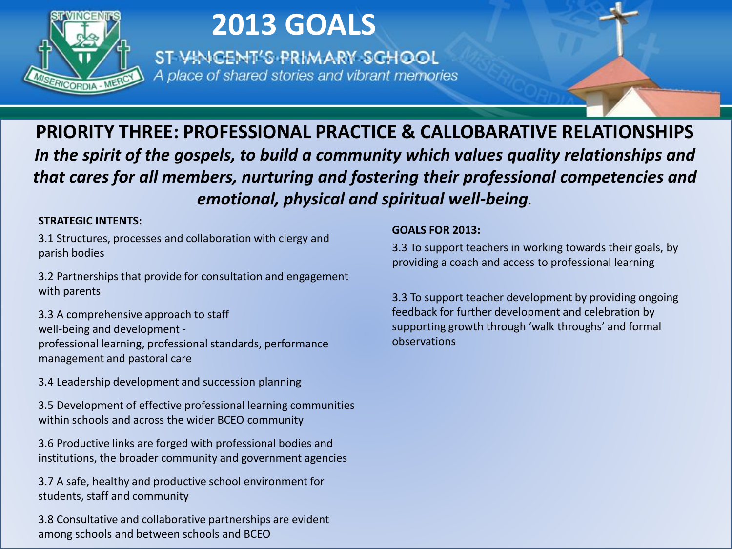

ST VINCENT'S PRIMARY SCHOOL A place of shared stories and vibrant memories

**PRIORITY THREE: PROFESSIONAL PRACTICE & CALLOBARATIVE RELATIONSHIPS** *In the spirit of the gospels, to build a community which values quality relationships and that cares for all members, nurturing and fostering their professional competencies and emotional, physical and spiritual well-being.*

#### **STRATEGIC INTENTS:**

3.1 Structures, processes and collaboration with clergy and parish bodies

3.2 Partnerships that provide for consultation and engagement with parents

3.3 A comprehensive approach to staff well-being and development professional learning, professional standards, performance management and pastoral care

3.4 Leadership development and succession planning

3.5 Development of effective professional learning communities within schools and across the wider BCEO community

3.6 Productive links are forged with professional bodies and institutions, the broader community and government agencies

3.7 A safe, healthy and productive school environment for students, staff and community

3.8 Consultative and collaborative partnerships are evident among schools and between schools and BCEO

#### **GOALS FOR 2013:**

3.3 To support teachers in working towards their goals, by providing a coach and access to professional learning

3.3 To support teacher development by providing ongoing feedback for further development and celebration by supporting growth through 'walk throughs' and formal observations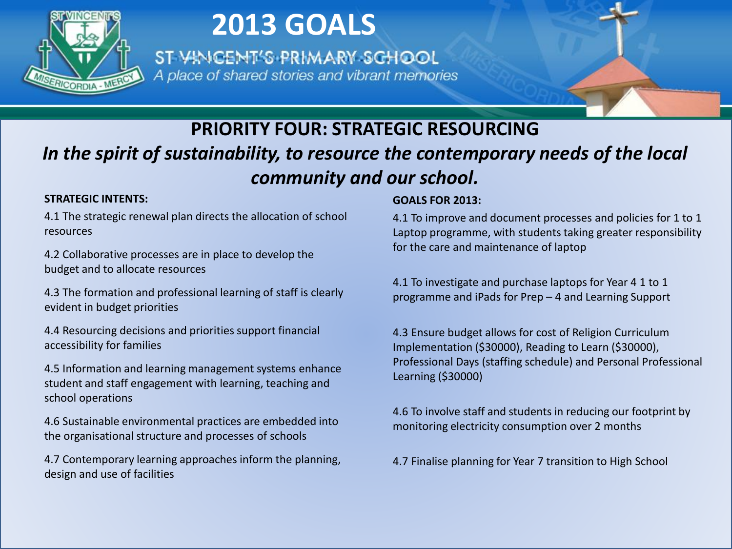

ST VINCENT'S PRIMARY SCHOOL A place of shared stories and vibrant memories

### **PRIORITY FOUR: STRATEGIC RESOURCING** *In the spirit of sustainability, to resource the contemporary needs of the local community and our school.*

#### **STRATEGIC INTENTS:**

4.1 The strategic renewal plan directs the allocation of school resources

4.2 Collaborative processes are in place to develop the budget and to allocate resources

4.3 The formation and professional learning of staff is clearly evident in budget priorities

4.4 Resourcing decisions and priorities support financial accessibility for families

4.5 Information and learning management systems enhance student and staff engagement with learning, teaching and school operations

4.6 Sustainable environmental practices are embedded into the organisational structure and processes of schools

4.7 Contemporary learning approaches inform the planning, design and use of facilities

#### **GOALS FOR 2013:**

4.1 To improve and document processes and policies for 1 to 1 Laptop programme, with students taking greater responsibility for the care and maintenance of laptop

4.1 To investigate and purchase laptops for Year 4 1 to 1 programme and iPads for Prep – 4 and Learning Support

4.3 Ensure budget allows for cost of Religion Curriculum Implementation (\$30000), Reading to Learn (\$30000), Professional Days (staffing schedule) and Personal Professional Learning (\$30000)

4.6 To involve staff and students in reducing our footprint by monitoring electricity consumption over 2 months

4.7 Finalise planning for Year 7 transition to High School